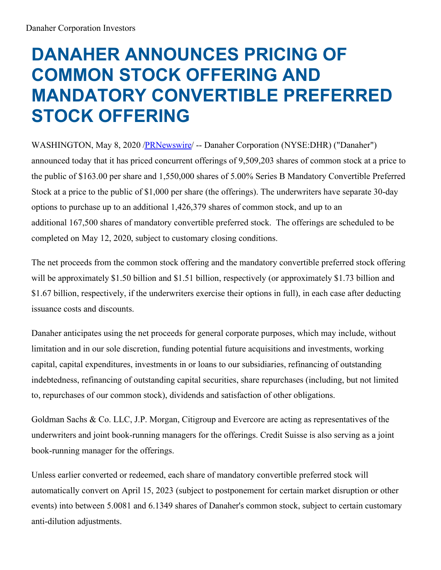## **DANAHER ANNOUNCES PRICING OF COMMON STOCK OFFERING AND MANDATORY CONVERTIBLE PREFERRED STOCK OFFERING**

WASHINGTON, May 8, 2020 [/PRNewswire](http://www.prnewswire.com/)/ -- Danaher Corporation (NYSE:DHR) ("Danaher") announced today that it has priced concurrent offerings of 9,509,203 shares of common stock at a price to the public of \$163.00 per share and 1,550,000 shares of 5.00% Series B Mandatory Convertible Preferred Stock at a price to the public of \$1,000 per share (the offerings). The underwriters have separate 30-day options to purchase up to an additional 1,426,379 shares of common stock, and up to an additional 167,500 shares of mandatory convertible preferred stock. The offerings are scheduled to be completed on May 12, 2020, subject to customary closing conditions.

The net proceeds from the common stock offering and the mandatory convertible preferred stock offering will be approximately \$1.50 billion and \$1.51 billion, respectively (or approximately \$1.73 billion and \$1.67 billion, respectively, if the underwriters exercise their options in full), in each case after deducting issuance costs and discounts.

Danaher anticipates using the net proceeds for general corporate purposes, which may include, without limitation and in our sole discretion, funding potential future acquisitions and investments, working capital, capital expenditures, investments in or loans to our subsidiaries, refinancing of outstanding indebtedness, refinancing of outstanding capital securities, share repurchases (including, but not limited to, repurchases of our common stock), dividends and satisfaction of other obligations.

Goldman Sachs & Co. LLC, J.P. Morgan, Citigroup and Evercore are acting as representatives of the underwriters and joint book-running managers for the offerings. Credit Suisse is also serving as a joint book-running manager for the offerings.

Unless earlier converted or redeemed, each share of mandatory convertible preferred stock will automatically convert on April 15, 2023 (subject to postponement for certain market disruption or other events) into between 5.0081 and 6.1349 shares of Danaher's common stock, subject to certain customary anti-dilution adjustments.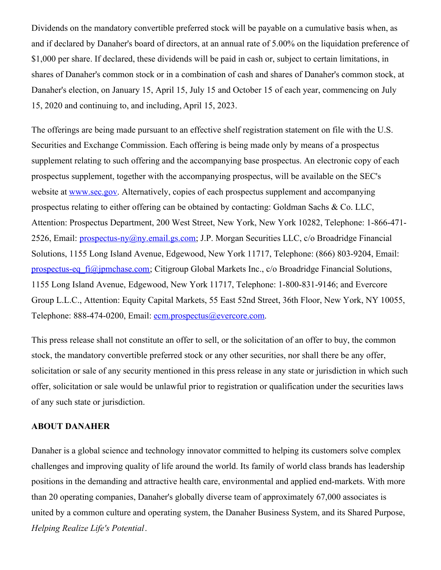Dividends on the mandatory convertible preferred stock will be payable on a cumulative basis when, as and if declared by Danaher's board of directors, at an annual rate of 5.00% on the liquidation preference of \$1,000 per share. If declared, these dividends will be paid in cash or, subject to certain limitations, in shares of Danaher's common stock or in a combination of cash and shares of Danaher's common stock, at Danaher's election, on January 15, April 15, July 15 and October 15 of each year, commencing on July 15, 2020 and continuing to, and including, April 15, 2023.

The offerings are being made pursuant to an effective shelf registration statement on file with the U.S. Securities and Exchange Commission. Each offering is being made only by means of a prospectus supplement relating to such offering and the accompanying base prospectus. An electronic copy of each prospectus supplement, together with the accompanying prospectus, will be available on the SEC's website at [www.sec.gov](http://www.sec.gov). Alternatively, copies of each prospectus supplement and accompanying prospectus relating to either offering can be obtained by contacting: Goldman Sachs & Co. LLC, Attention: Prospectus Department, 200 West Street, New York, New York 10282, Telephone: 1-866-471- 2526, Email: [prospectus-ny@ny.email.gs.com](mailto:prospectus-ny@ny.email.gs.com); J.P. Morgan Securities LLC, c/o Broadridge Financial Solutions, 1155 Long Island Avenue, Edgewood, New York 11717, Telephone: (866) 803-9204, Email: [prospectus-eq\\_fi@jpmchase.com](mailto:prospectus-eq_fi@jpmchase.com); Citigroup Global Markets Inc., c/o Broadridge Financial Solutions, 1155 Long Island Avenue, Edgewood, New York 11717, Telephone: 1-800-831-9146; and Evercore Group L.L.C., Attention: Equity Capital Markets, 55 East 52nd Street, 36th Floor, New York, NY 10055, Telephone: 888-474-0200, Email: [ecm.prospectus@evercore.com](mailto:ecm.prospectus@evercore.com).

This press release shall not constitute an offer to sell, or the solicitation of an offer to buy, the common stock, the mandatory convertible preferred stock or any other securities, nor shall there be any offer, solicitation or sale of any security mentioned in this press release in any state or jurisdiction in which such offer, solicitation or sale would be unlawful prior to registration or qualification under the securities laws of any such state or jurisdiction.

## **ABOUT DANAHER**

Danaher is a global science and technology innovator committed to helping its customers solve complex challenges and improving quality of life around the world. Its family of world class brands has leadership positions in the demanding and attractive health care, environmental and applied end-markets. With more than 20 operating companies, Danaher's globally diverse team of approximately 67,000 associates is united by a common culture and operating system, the Danaher Business System, and its Shared Purpose, *Helping Realize Life's Potential*.